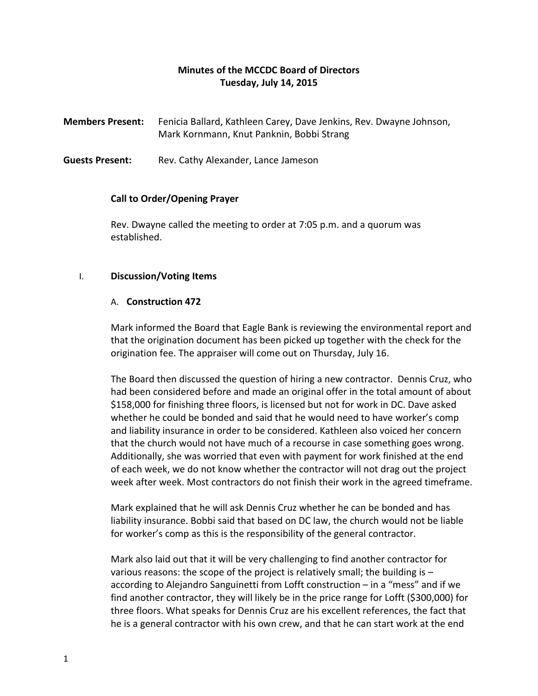# **Minutes of the MCCDC Board of Directors Tuesday, July 14, 2015**

**Members Present:** Fenicia Ballard, Kathleen Carey, Dave Jenkins, Rev. Dwayne Johnson, Mark Kornmann, Knut Panknin, Bobbi Strang

**Guests Present:** Rev. Cathy Alexander, Lance Jameson

## **Call to Order/Opening Prayer**

Rev. Dwayne called the meeting to order at 7:05 p.m. and a quorum was established.

## I. **Discussion/Voting Items**

### A. **Construction 472**

Mark informed the Board that Eagle Bank is reviewing the environmental report and that the origination document has been picked up together with the check for the origination fee. The appraiser will come out on Thursday, July 16.

The Board then discussed the question of hiring a new contractor. Dennis Cruz, who had been considered before and made an original offer in the total amount of about \$158,000 for finishing three floors, is licensed but not for work in DC. Dave asked whether he could be bonded and said that he would need to have worker's comp and liability insurance in order to be considered. Kathleen also voiced her concern that the church would not have much of a recourse in case something goes wrong. Additionally, she was worried that even with payment for work finished at the end of each week, we do not know whether the contractor will not drag out the project week after week. Most contractors do not finish their work in the agreed timeframe.

Mark explained that he will ask Dennis Cruz whether he can be bonded and has liability insurance. Bobbi said that based on DC law, the church would not be liable for worker's comp as this is the responsibility of the general contractor.

Mark also laid out that it will be very challenging to find another contractor for various reasons: the scope of the project is relatively small; the building is  $$ according to Alejandro Sanguinetti from Lofft construction – in a "mess" and if we find another contractor, they will likely be in the price range for Lofft (\$300,000) for three floors. What speaks for Dennis Cruz are his excellent references, the fact that he is a general contractor with his own crew, and that he can start work at the end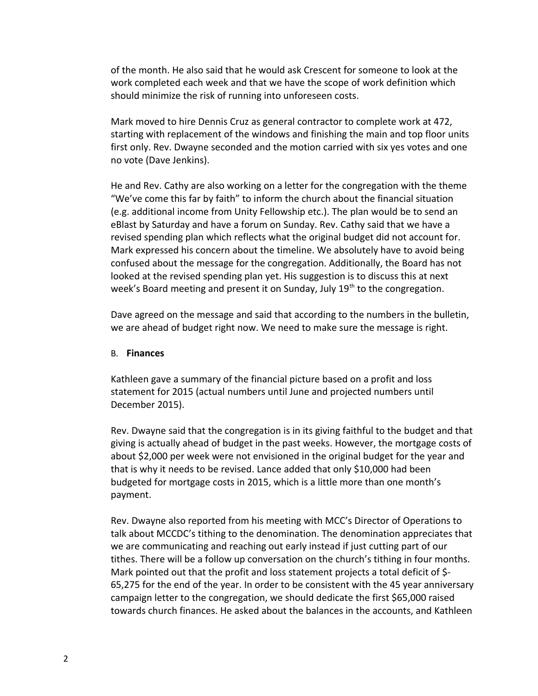of the month. He also said that he would ask Crescent for someone to look at the work completed each week and that we have the scope of work definition which should minimize the risk of running into unforeseen costs.

Mark moved to hire Dennis Cruz as general contractor to complete work at 472, starting with replacement of the windows and finishing the main and top floor units first only. Rev. Dwayne seconded and the motion carried with six yes votes and one no vote (Dave Jenkins).

He and Rev. Cathy are also working on a letter for the congregation with the theme "We've come this far by faith" to inform the church about the financial situation (e.g. additional income from Unity Fellowship etc.). The plan would be to send an eBlast by Saturday and have a forum on Sunday. Rev. Cathy said that we have a revised spending plan which reflects what the original budget did not account for. Mark expressed his concern about the timeline. We absolutely have to avoid being confused about the message for the congregation. Additionally, the Board has not looked at the revised spending plan yet. His suggestion is to discuss this at next week's Board meeting and present it on Sunday, July  $19<sup>th</sup>$  to the congregation.

Dave agreed on the message and said that according to the numbers in the bulletin, we are ahead of budget right now. We need to make sure the message is right.

#### B. **Finances**

Kathleen gave a summary of the financial picture based on a profit and loss statement for 2015 (actual numbers until June and projected numbers until December 2015).

Rev. Dwayne said that the congregation is in its giving faithful to the budget and that giving is actually ahead of budget in the past weeks. However, the mortgage costs of about \$2,000 per week were not envisioned in the original budget for the year and that is why it needs to be revised. Lance added that only \$10,000 had been budgeted for mortgage costs in 2015, which is a little more than one month's payment.

Rev. Dwayne also reported from his meeting with MCC's Director of Operations to talk about MCCDC's tithing to the denomination. The denomination appreciates that we are communicating and reaching out early instead if just cutting part of our tithes. There will be a follow up conversation on the church's tithing in four months. Mark pointed out that the profit and loss statement projects a total deficit of \$- 65,275 for the end of the year. In order to be consistent with the 45 year anniversary campaign letter to the congregation, we should dedicate the first \$65,000 raised towards church finances. He asked about the balances in the accounts, and Kathleen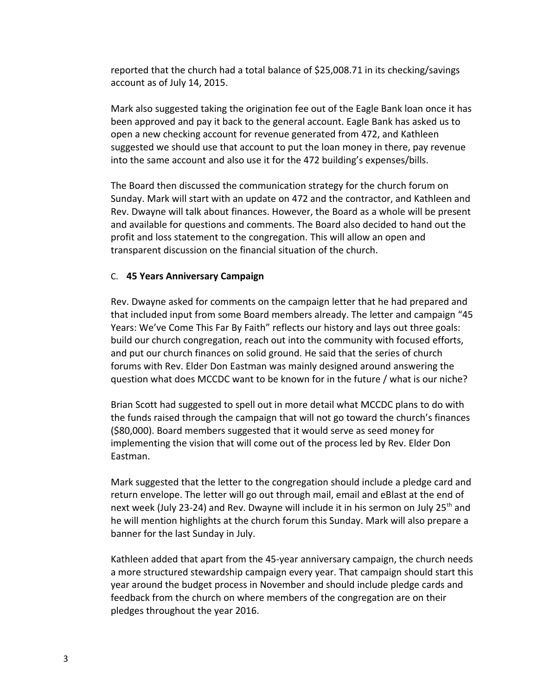reported that the church had a total balance of \$25,008.71 in its checking/savings account as of July 14, 2015.

Mark also suggested taking the origination fee out of the Eagle Bank loan once it has been approved and pay it back to the general account. Eagle Bank has asked us to open a new checking account for revenue generated from 472, and Kathleen suggested we should use that account to put the loan money in there, pay revenue into the same account and also use it for the 472 building's expenses/bills.

The Board then discussed the communication strategy for the church forum on Sunday. Mark will start with an update on 472 and the contractor, and Kathleen and Rev. Dwayne will talk about finances. However, the Board as a whole will be present and available for questions and comments. The Board also decided to hand out the profit and loss statement to the congregation. This will allow an open and transparent discussion on the financial situation of the church.

### C. **45 Years Anniversary Campaign**

Rev. Dwayne asked for comments on the campaign letter that he had prepared and that included input from some Board members already. The letter and campaign "45 Years: We've Come This Far By Faith" reflects our history and lays out three goals: build our church congregation, reach out into the community with focused efforts, and put our church finances on solid ground. He said that the series of church forums with Rev. Elder Don Eastman was mainly designed around answering the question what does MCCDC want to be known for in the future / what is our niche?

Brian Scott had suggested to spell out in more detail what MCCDC plans to do with the funds raised through the campaign that will not go toward the church's finances (\$80,000). Board members suggested that it would serve as seed money for implementing the vision that will come out of the process led by Rev. Elder Don Eastman.

Mark suggested that the letter to the congregation should include a pledge card and return envelope. The letter will go out through mail, email and eBlast at the end of next week (July 23-24) and Rev. Dwayne will include it in his sermon on July 25<sup>th</sup> and he will mention highlights at the church forum this Sunday. Mark will also prepare a banner for the last Sunday in July.

Kathleen added that apart from the 45-year anniversary campaign, the church needs a more structured stewardship campaign every year. That campaign should start this year around the budget process in November and should include pledge cards and feedback from the church on where members of the congregation are on their pledges throughout the year 2016.